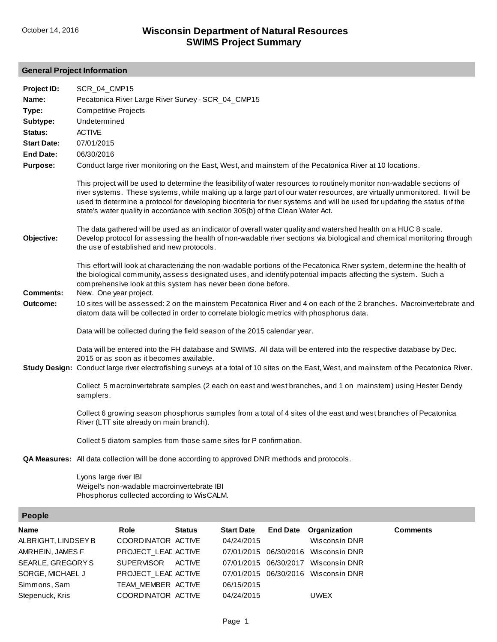## **General Project Information**

| Project ID:<br>Name:<br>Type:<br>Subtype: | SCR_04_CMP15<br><b>Competitive Projects</b><br>Undetermined | Pecatonica River Large River Survey - SCR_04_CMP15                                             |               |                   |                 |                                                                                                                    |                                                                                                                                                                                                                                                                                                                                                                                 |
|-------------------------------------------|-------------------------------------------------------------|------------------------------------------------------------------------------------------------|---------------|-------------------|-----------------|--------------------------------------------------------------------------------------------------------------------|---------------------------------------------------------------------------------------------------------------------------------------------------------------------------------------------------------------------------------------------------------------------------------------------------------------------------------------------------------------------------------|
| Status:                                   | <b>ACTIVE</b>                                               |                                                                                                |               |                   |                 |                                                                                                                    |                                                                                                                                                                                                                                                                                                                                                                                 |
| <b>Start Date:</b>                        | 07/01/2015                                                  |                                                                                                |               |                   |                 |                                                                                                                    |                                                                                                                                                                                                                                                                                                                                                                                 |
| <b>End Date:</b><br><b>Purpose:</b>       | 06/30/2016                                                  |                                                                                                |               |                   |                 | Conduct large river monitoring on the East, West, and mainstem of the Pecatonica River at 10 locations.            |                                                                                                                                                                                                                                                                                                                                                                                 |
|                                           |                                                             | state's water quality in accordance with section 305(b) of the Clean Water Act.                |               |                   |                 |                                                                                                                    | This project will be used to determine the feasibility of water resources to routinely monitor non-wadable sections of<br>river systems. These systems, while making up a large part of our water resources, are virtually unmonitored. It will be<br>used to determine a protocol for developing biocriteria for river systems and will be used for updating the status of the |
| Objective:                                |                                                             | the use of established and new protocols.                                                      |               |                   |                 | The data gathered will be used as an indicator of overall water quality and watershed health on a HUC 8 scale.     | Develop protocol for assessing the health of non-wadable river sections via biological and chemical monitoring through                                                                                                                                                                                                                                                          |
| <b>Comments:</b>                          |                                                             | comprehensive look at this system has never been done before.<br>New. One year project.        |               |                   |                 | the biological community, assess designated uses, and identify potential impacts affecting the system. Such a      | This effort will look at characterizing the non-wadable portions of the Pecatonica River system, determine the health of                                                                                                                                                                                                                                                        |
| Outcome:                                  |                                                             |                                                                                                |               |                   |                 | diatom data will be collected in order to correlate biologic metrics with phosphorus data.                         | 10 sites will be assessed: 2 on the mainstem Pecatonica River and 4 on each of the 2 branches. Macroinvertebrate and                                                                                                                                                                                                                                                            |
|                                           |                                                             | Data will be collected during the field season of the 2015 calendar year.                      |               |                   |                 |                                                                                                                    |                                                                                                                                                                                                                                                                                                                                                                                 |
|                                           |                                                             | 2015 or as soon as it becomes available.                                                       |               |                   |                 | Data will be entered into the FH database and SWIMS. All data will be entered into the respective database by Dec. | Study Design: Conduct large river electrofishing surveys at a total of 10 sites on the East, West, and mainstem of the Pecatonica River.                                                                                                                                                                                                                                        |
|                                           | samplers.                                                   |                                                                                                |               |                   |                 |                                                                                                                    | Collect 5 macroinvertebrate samples (2 each on east and west branches, and 1 on mainstem) using Hester Dendy                                                                                                                                                                                                                                                                    |
|                                           |                                                             | River (LTT site already on main branch).                                                       |               |                   |                 | Collect 6 growing season phosphorus samples from a total of 4 sites of the east and west branches of Pecatonica    |                                                                                                                                                                                                                                                                                                                                                                                 |
|                                           |                                                             | Collect 5 diatom samples from those same sites for P confirmation.                             |               |                   |                 |                                                                                                                    |                                                                                                                                                                                                                                                                                                                                                                                 |
|                                           |                                                             | QA Measures: All data collection will be done according to approved DNR methods and protocols. |               |                   |                 |                                                                                                                    |                                                                                                                                                                                                                                                                                                                                                                                 |
|                                           | Lyons large river IBI                                       | Weigel's non-wadable macroinvertebrate IBI<br>Phosphorus collected according to WisCALM.       |               |                   |                 |                                                                                                                    |                                                                                                                                                                                                                                                                                                                                                                                 |
| <b>People</b>                             |                                                             |                                                                                                |               |                   |                 |                                                                                                                    |                                                                                                                                                                                                                                                                                                                                                                                 |
| Name                                      |                                                             | Role                                                                                           | <b>Status</b> | <b>Start Date</b> | <b>End Date</b> | Organization                                                                                                       | <b>Comments</b>                                                                                                                                                                                                                                                                                                                                                                 |
| ALBRIGHT, LINDSEY B                       |                                                             | COORDINATOR ACTIVE                                                                             |               | 04/24/2015        |                 | Wisconsin DNR                                                                                                      |                                                                                                                                                                                                                                                                                                                                                                                 |

| ALBRIGHT, LINDSEY B | COORDINATOR ACTIVE  | 04/24/2015                          | Wisconsin DNR |
|---------------------|---------------------|-------------------------------------|---------------|
| AMRHEIN, JAMES F    | PROJECT_LEAD ACTIVE | 07/01/2015 06/30/2016 Wisconsin DNR |               |
| SEARLE, GREGORY S   | SUPERVISOR ACTIVE   | 07/01/2015 06/30/2017 Wisconsin DNR |               |
| SORGE, MICHAEL J    | PROJECT LEAD ACTIVE | 07/01/2015 06/30/2016 Wisconsin DNR |               |
| Simmons, Sam        | TEAM MEMBER ACTIVE  | 06/15/2015                          |               |
| Stepenuck, Kris     | COORDINATOR ACTIVE  | 04/24/2015                          | <b>UWEX</b>   |
|                     |                     |                                     |               |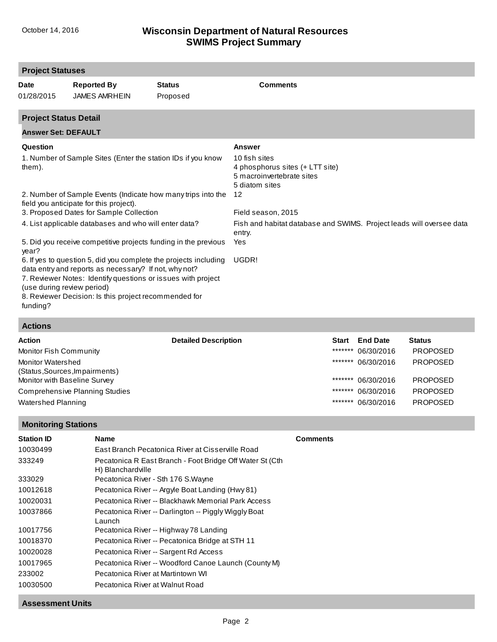| <b>Project Statuses</b>                         |                                                                                                                                                                                                                                                                                                                       |                           |                                                                                                                        |
|-------------------------------------------------|-----------------------------------------------------------------------------------------------------------------------------------------------------------------------------------------------------------------------------------------------------------------------------------------------------------------------|---------------------------|------------------------------------------------------------------------------------------------------------------------|
| <b>Date</b><br>01/28/2015                       | <b>Reported By</b><br><b>JAMES AMRHEIN</b>                                                                                                                                                                                                                                                                            | <b>Status</b><br>Proposed | <b>Comments</b>                                                                                                        |
| <b>Project Status Detail</b>                    |                                                                                                                                                                                                                                                                                                                       |                           |                                                                                                                        |
| <b>Answer Set: DEFAULT</b>                      |                                                                                                                                                                                                                                                                                                                       |                           |                                                                                                                        |
| Question<br>them).                              | 1. Number of Sample Sites (Enter the station IDs if you know                                                                                                                                                                                                                                                          |                           | <b>Answer</b><br>10 fish sites<br>4 phosphorus sites (+ LTT site)<br>5 macroinvertebrate sites<br>5 diatom sites<br>12 |
|                                                 | 2. Number of Sample Events (Indicate how many trips into the<br>field you anticipate for this project).<br>3. Proposed Dates for Sample Collection                                                                                                                                                                    |                           | Field season, 2015                                                                                                     |
|                                                 | 4. List applicable databases and who will enter data?                                                                                                                                                                                                                                                                 |                           | Fish and habitat database and SWIMS. Project leads will oversee data<br>entry.                                         |
| year?<br>(use during review period)<br>funding? | 5. Did you receive competitive projects funding in the previous<br>6. If yes to question 5, did you complete the projects including<br>data entry and reports as necessary? If not, why not?<br>7. Reviewer Notes: Identify questions or issues with project<br>8. Reviewer Decision: Is this project recommended for |                           | Yes<br>UGDR!                                                                                                           |

#### **Actions**

| <b>Action</b>                  | <b>Detailed Description</b><br><b>Start</b> | <b>End Date</b>    | <b>Status</b>   |
|--------------------------------|---------------------------------------------|--------------------|-----------------|
| Monitor Fish Community         | *******                                     | 06/30/2016         | <b>PROPOSED</b> |
| Monitor Watershed              |                                             | ******* 06/30/2016 | <b>PROPOSED</b> |
| (Status, Sources, Impairments) |                                             |                    |                 |
| Monitor with Baseline Survey   |                                             | ******* 06/30/2016 | <b>PROPOSED</b> |
| Comprehensive Planning Studies |                                             | ******* 06/30/2016 | <b>PROPOSED</b> |
| Watershed Planning             | *******                                     | 06/30/2016         | <b>PROPOSED</b> |

### **Monitoring Stations**

| <b>Station ID</b> | <b>Name</b>                                                                    | <b>Comments</b> |
|-------------------|--------------------------------------------------------------------------------|-----------------|
| 10030499          | East Branch Pecatonica River at Cisserville Road                               |                 |
| 333249            | Pecatonica R East Branch - Foot Bridge Off Water St (Cth)<br>H) Blanchardville |                 |
| 333029            | Pecatonica River - Sth 176 S. Wayne                                            |                 |
| 10012618          | Pecatonica River -- Argyle Boat Landing (Hwy 81)                               |                 |
| 10020031          | Pecatonica River -- Blackhawk Memorial Park Access                             |                 |
| 10037866          | Pecatonica River -- Darlington -- Piggly Wiggly Boat<br>Launch                 |                 |
| 10017756          | Pecatonica River -- Highway 78 Landing                                         |                 |
| 10018370          | Pecatonica River -- Pecatonica Bridge at STH 11                                |                 |
| 10020028          | Pecatonica River -- Sargent Rd Access                                          |                 |
| 10017965          | Pecatonica River -- Woodford Canoe Launch (County M)                           |                 |
| 233002            | Pecatonica River at Martintown WI                                              |                 |
| 10030500          | Pecatonica River at Walnut Road                                                |                 |

#### **Assessment Units**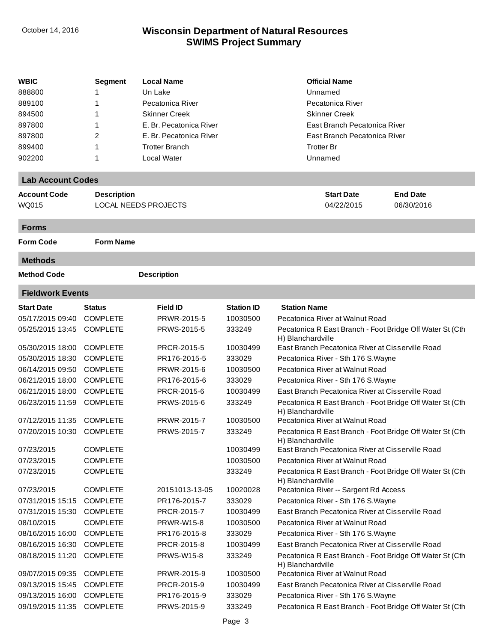| <b>WBIC</b>              | Segment            | <b>Local Name</b>           |                   | <b>Official Name</b>                                                          |
|--------------------------|--------------------|-----------------------------|-------------------|-------------------------------------------------------------------------------|
| 888800                   |                    | Un Lake                     |                   | Unnamed                                                                       |
| 889100                   | 1                  | Pecatonica River            |                   | Pecatonica River                                                              |
| 894500                   | 1                  | <b>Skinner Creek</b>        |                   | <b>Skinner Creek</b>                                                          |
| 897800                   | 1                  | E. Br. Pecatonica River     |                   | East Branch Pecatonica River                                                  |
| 897800                   | 2                  | E. Br. Pecatonica River     |                   | East Branch Pecatonica River                                                  |
| 899400                   | 1                  | <b>Trotter Branch</b>       |                   | <b>Trotter Br</b>                                                             |
| 902200                   | 1                  | Local Water                 |                   | Unnamed                                                                       |
| <b>Lab Account Codes</b> |                    |                             |                   |                                                                               |
| <b>Account Code</b>      | <b>Description</b> |                             |                   | <b>Start Date</b><br><b>End Date</b>                                          |
| WQ015                    |                    | <b>LOCAL NEEDS PROJECTS</b> |                   | 04/22/2015<br>06/30/2016                                                      |
| <b>Forms</b>             |                    |                             |                   |                                                                               |
| <b>Form Code</b>         | <b>Form Name</b>   |                             |                   |                                                                               |
| <b>Methods</b>           |                    |                             |                   |                                                                               |
| <b>Method Code</b>       |                    | <b>Description</b>          |                   |                                                                               |
| <b>Fieldwork Events</b>  |                    |                             |                   |                                                                               |
| <b>Start Date</b>        | <b>Status</b>      | <b>Field ID</b>             | <b>Station ID</b> | <b>Station Name</b>                                                           |
| 05/17/2015 09:40         | <b>COMPLETE</b>    | PRWR-2015-5                 | 10030500          | Pecatonica River at Walnut Road                                               |
| 05/25/2015 13:45         | <b>COMPLETE</b>    | PRWS-2015-5                 | 333249            | Pecatonica R East Branch - Foot Bridge Off Water St (Cth<br>H) Blanchardville |
| 05/30/2015 18:00         | <b>COMPLETE</b>    | PRCR-2015-5                 | 10030499          | East Branch Pecatonica River at Cisserville Road                              |
| 05/30/2015 18:30         | <b>COMPLETE</b>    | PR176-2015-5                | 333029            | Pecatonica River - Sth 176 S. Wayne                                           |
| 06/14/2015 09:50         | <b>COMPLETE</b>    | PRWR-2015-6                 | 10030500          | Pecatonica River at Walnut Road                                               |
| 06/21/2015 18:00         | <b>COMPLETE</b>    | PR176-2015-6                | 333029            | Pecatonica River - Sth 176 S. Wayne                                           |
| 06/21/2015 18:00         | <b>COMPLETE</b>    | PRCR-2015-6                 | 10030499          | East Branch Pecatonica River at Cisserville Road                              |
| 06/23/2015 11:59         | <b>COMPLETE</b>    | PRWS-2015-6                 | 333249            | Pecatonica R East Branch - Foot Bridge Off Water St (Cth<br>H) Blanchardville |
| 07/12/2015 11:35         | <b>COMPLETE</b>    | PRWR-2015-7                 | 10030500          | Pecatonica River at Walnut Road                                               |
| 07/20/2015 10:30         | <b>COMPLETE</b>    | PRWS-2015-7                 | 333249            | Pecatonica R East Branch - Foot Bridge Off Water St (Cth<br>H) Blanchardville |
| 07/23/2015               | <b>COMPLETE</b>    |                             | 10030499          | East Branch Pecatonica River at Cisserville Road                              |
| 07/23/2015               | <b>COMPLETE</b>    |                             | 10030500          | Pecatonica River at Walnut Road                                               |
| 07/23/2015               | <b>COMPLETE</b>    |                             | 333249            | Pecatonica R East Branch - Foot Bridge Off Water St (Cth<br>H) Blanchardville |
| 07/23/2015               | <b>COMPLETE</b>    | 20151013-13-05              | 10020028          | Pecatonica River -- Sargent Rd Access                                         |
| 07/31/2015 15:15         | <b>COMPLETE</b>    | PR176-2015-7                | 333029            | Pecatonica River - Sth 176 S. Wayne                                           |
| 07/31/2015 15:30         | <b>COMPLETE</b>    | PRCR-2015-7                 | 10030499          | East Branch Pecatonica River at Cisserville Road                              |
| 08/10/2015               | <b>COMPLETE</b>    | <b>PRWR-W15-8</b>           | 10030500          | Pecatonica River at Walnut Road                                               |
| 08/16/2015 16:00         | <b>COMPLETE</b>    | PR176-2015-8                | 333029            | Pecatonica River - Sth 176 S. Wayne                                           |
| 08/16/2015 16:30         | <b>COMPLETE</b>    | PRCR-2015-8                 | 10030499          | East Branch Pecatonica River at Cisserville Road                              |
| 08/18/2015 11:20         | <b>COMPLETE</b>    | <b>PRWS-W15-8</b>           | 333249            | Pecatonica R East Branch - Foot Bridge Off Water St (Cth<br>H) Blanchardville |
| 09/07/2015 09:35         | <b>COMPLETE</b>    | PRWR-2015-9                 | 10030500          | Pecatonica River at Walnut Road                                               |
| 09/13/2015 15:45         | <b>COMPLETE</b>    | PRCR-2015-9                 | 10030499          | East Branch Pecatonica River at Cisserville Road                              |
| 09/13/2015 16:00         | <b>COMPLETE</b>    | PR176-2015-9                | 333029            | Pecatonica River - Sth 176 S. Wayne                                           |
| 09/19/2015 11:35         | <b>COMPLETE</b>    | PRWS-2015-9                 | 333249            | Pecatonica R East Branch - Foot Bridge Off Water St (Cth                      |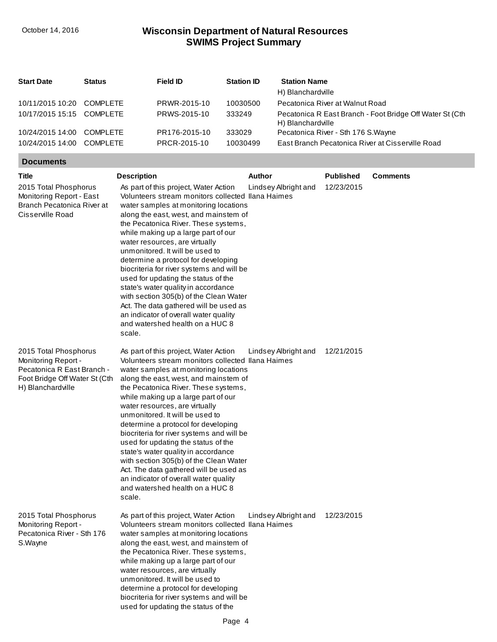| <b>Start Date</b>         | <b>Status</b>   | Field ID      | <b>Station ID</b> | <b>Station Name</b><br>H) Blanchardville                                       |
|---------------------------|-----------------|---------------|-------------------|--------------------------------------------------------------------------------|
| 10/11/2015 10:20          | <b>COMPLETE</b> | PRWR-2015-10  | 10030500          | Pecatonica River at Walnut Road                                                |
| 10/17/2015 15:15 COMPLETE |                 | PRWS-2015-10  | 333249            | Pecatonica R East Branch - Foot Bridge Off Water St (Cth.<br>H) Blanchardville |
| 10/24/2015 14:00          | <b>COMPLETE</b> | PR176-2015-10 | 333029            | Pecatonica River - Sth 176 S. Wayne                                            |
| 10/24/2015 14:00          | <b>COMPLETE</b> | PRCR-2015-10  | 10030499          | East Branch Pecatonica River at Cisserville Road                               |

#### **Documents**

| Title                                                                                                                            | <b>Description</b>                                                                                                                                                                                                                                                                                                                                                                                                                                                                                                                                                                                                                                                           | Author               | <b>Published</b> | <b>Comments</b> |
|----------------------------------------------------------------------------------------------------------------------------------|------------------------------------------------------------------------------------------------------------------------------------------------------------------------------------------------------------------------------------------------------------------------------------------------------------------------------------------------------------------------------------------------------------------------------------------------------------------------------------------------------------------------------------------------------------------------------------------------------------------------------------------------------------------------------|----------------------|------------------|-----------------|
| 2015 Total Phosphorus<br>Monitoring Report - East<br>Branch Pecatonica River at<br>Cisserville Road                              | As part of this project, Water Action<br>Volunteers stream monitors collected Ilana Haimes<br>water samples at monitoring locations<br>along the east, west, and mainstem of<br>the Pecatonica River. These systems,<br>while making up a large part of our<br>water resources, are virtually<br>unmonitored. It will be used to<br>determine a protocol for developing<br>biocriteria for river systems and will be<br>used for updating the status of the<br>state's water quality in accordance<br>with section 305(b) of the Clean Water<br>Act. The data gathered will be used as<br>an indicator of overall water quality<br>and watershed health on a HUC 8<br>scale. | Lindsey Albright and | 12/23/2015       |                 |
| 2015 Total Phosphorus<br>Monitoring Report -<br>Pecatonica R East Branch -<br>Foot Bridge Off Water St (Cth<br>H) Blanchardville | As part of this project, Water Action<br>Volunteers stream monitors collected Ilana Haimes<br>water samples at monitoring locations<br>along the east, west, and mainstem of<br>the Pecatonica River. These systems,<br>while making up a large part of our<br>water resources, are virtually<br>unmonitored. It will be used to<br>determine a protocol for developing<br>biocriteria for river systems and will be<br>used for updating the status of the<br>state's water quality in accordance<br>with section 305(b) of the Clean Water<br>Act. The data gathered will be used as<br>an indicator of overall water quality<br>and watershed health on a HUC 8<br>scale. | Lindsey Albright and | 12/21/2015       |                 |
| 2015 Total Phosphorus<br>Monitoring Report -<br>Pecatonica River - Sth 176<br>S.Wayne                                            | As part of this project, Water Action<br>Volunteers stream monitors collected Ilana Haimes<br>water samples at monitoring locations<br>along the east, west, and mainstem of<br>the Pecatonica River. These systems,<br>while making up a large part of our<br>water resources, are virtually<br>unmonitored. It will be used to<br>determine a protocol for developing<br>biocriteria for river systems and will be<br>used for updating the status of the                                                                                                                                                                                                                  | Lindsey Albright and | 12/23/2015       |                 |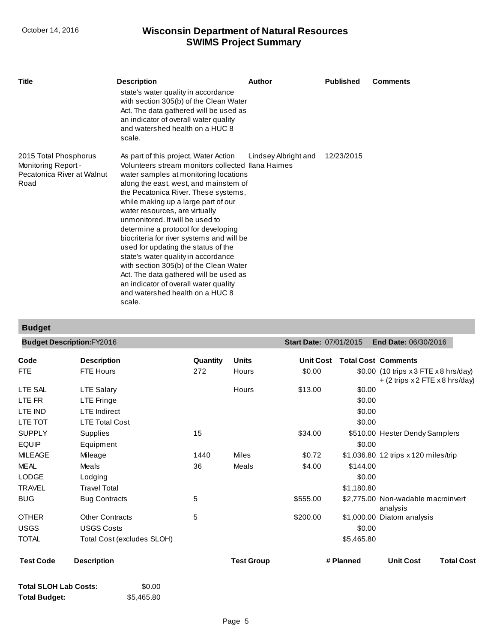| <b>Title</b>                                                                              | <b>Description</b>                                                                                                                                                                                                                                                                                                                                                                                                                                                                                                                                                                                                                                                           | Author               | <b>Published</b> | <b>Comments</b> |
|-------------------------------------------------------------------------------------------|------------------------------------------------------------------------------------------------------------------------------------------------------------------------------------------------------------------------------------------------------------------------------------------------------------------------------------------------------------------------------------------------------------------------------------------------------------------------------------------------------------------------------------------------------------------------------------------------------------------------------------------------------------------------------|----------------------|------------------|-----------------|
|                                                                                           | state's water quality in accordance<br>with section 305(b) of the Clean Water<br>Act. The data gathered will be used as<br>an indicator of overall water quality<br>and watershed health on a HUC 8<br>scale.                                                                                                                                                                                                                                                                                                                                                                                                                                                                |                      |                  |                 |
| 2015 Total Phosphorus<br><b>Monitoring Report -</b><br>Pecatonica River at Walnut<br>Road | As part of this project, Water Action<br>Volunteers stream monitors collected Ilana Haimes<br>water samples at monitoring locations<br>along the east, west, and mainstem of<br>the Pecatonica River. These systems,<br>while making up a large part of our<br>water resources, are virtually<br>unmonitored. It will be used to<br>determine a protocol for developing<br>biocriteria for river systems and will be<br>used for updating the status of the<br>state's water quality in accordance<br>with section 305(b) of the Clean Water<br>Act. The data gathered will be used as<br>an indicator of overall water quality<br>and watershed health on a HUC 8<br>scale. | Lindsey Albright and | 12/23/2015       |                 |

# **Budget**

|                  | <b>Budget Description:FY2016</b> |          |                   | <b>Start Date: 07/01/2015</b> |            | <b>End Date: 06/30/2016</b>                                                |                   |
|------------------|----------------------------------|----------|-------------------|-------------------------------|------------|----------------------------------------------------------------------------|-------------------|
| Code             | <b>Description</b>               | Quantity | <b>Units</b>      | <b>Unit Cost</b>              |            | <b>Total Cost Comments</b>                                                 |                   |
| <b>FTE</b>       | <b>FTE Hours</b>                 | 272      | Hours             | \$0.00                        |            | \$0.00 (10 trips $x3$ FTE $x8$ hrs/day)<br>+ (2 trips x 2 FTE x 8 hrs/day) |                   |
| LTE SAL          | <b>LTE Salary</b>                |          | Hours             | \$13.00                       | \$0.00     |                                                                            |                   |
| LTE FR           | LTE Fringe                       |          |                   |                               | \$0.00     |                                                                            |                   |
| LTE IND          | <b>LTE</b> Indirect              |          |                   |                               | \$0.00     |                                                                            |                   |
| LTE TOT          | <b>LTE Total Cost</b>            |          |                   |                               | \$0.00     |                                                                            |                   |
| <b>SUPPLY</b>    | Supplies                         | 15       |                   | \$34.00                       |            | \$510.00 Hester Dendy Samplers                                             |                   |
| <b>EQUIP</b>     | Equipment                        |          |                   |                               | \$0.00     |                                                                            |                   |
| <b>MILEAGE</b>   | Mileage                          | 1440     | <b>Miles</b>      | \$0.72                        |            | \$1,036.80 12 trips x 120 miles/trip                                       |                   |
| <b>MEAL</b>      | Meals                            | 36       | Meals             | \$4.00                        | \$144.00   |                                                                            |                   |
| <b>LODGE</b>     | Lodging                          |          |                   |                               | \$0.00     |                                                                            |                   |
| <b>TRAVEL</b>    | <b>Travel Total</b>              |          |                   |                               | \$1,180.80 |                                                                            |                   |
| <b>BUG</b>       | <b>Bug Contracts</b>             | 5        |                   | \$555.00                      |            | \$2,775.00 Non-wadable macroinvert<br>analysis                             |                   |
| <b>OTHER</b>     | <b>Other Contracts</b>           | 5        |                   | \$200.00                      |            | \$1,000.00 Diatom analysis                                                 |                   |
| <b>USGS</b>      | <b>USGS Costs</b>                |          |                   |                               | \$0.00     |                                                                            |                   |
| <b>TOTAL</b>     | Total Cost (excludes SLOH)       |          |                   |                               | \$5,465.80 |                                                                            |                   |
| <b>Test Code</b> | <b>Description</b>               |          | <b>Test Group</b> |                               | # Planned  | <b>Unit Cost</b>                                                           | <b>Total Cost</b> |

| <b>Total SLOH Lab Costs:</b> | \$0.00     |
|------------------------------|------------|
| <b>Total Budget:</b>         | \$5,465.80 |